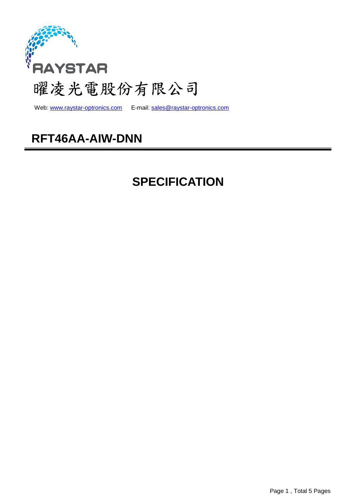

web: www.raystar-optronics.com E-mail: sales@raystar-optronics.com

### **RFT46AA-AIW-DNN**

## **SPECIFICATION**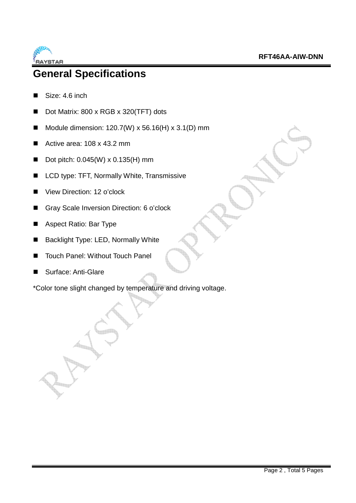

### **General Specifications**

- Size: 4.6 inch
- Dot Matrix: 800 x RGB x 320(TFT) dots
- Module dimension:  $120.7(W) \times 56.16(H) \times 3.1(D)$  mm
- Active area: 108 x 43.2 mm
- Dot pitch:  $0.045(W) \times 0.135(H)$  mm
- LCD type: TFT, Normally White, Transmissive
- View Direction: 12 o'clock
- Gray Scale Inversion Direction: 6 o'clock
- Aspect Ratio: Bar Type
- Backlight Type: LED, Normally White
- Touch Panel: Without Touch Panel
- Surface: Anti-Glare

\*Color tone slight changed by temperature and driving voltage.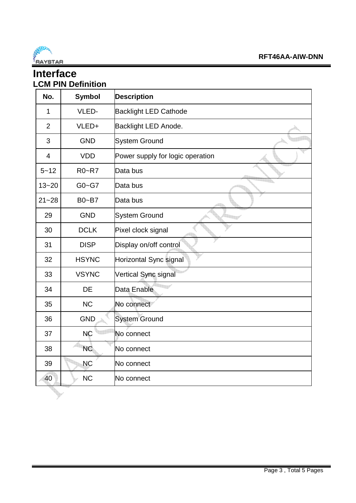

#### **Interface LCM PIN Definition**

| No.            | <b>Symbol</b> | <b>Description</b>               |
|----------------|---------------|----------------------------------|
| $\mathbf 1$    | VLED-         | <b>Backlight LED Cathode</b>     |
| $\overline{2}$ | VLED+         | Backlight LED Anode.             |
| 3              | <b>GND</b>    | <b>System Ground</b>             |
| $\overline{4}$ | <b>VDD</b>    | Power supply for logic operation |
| $5 - 12$       | R0~R7         | Data bus                         |
| $13 - 20$      | $G0 - G7$     | Data bus                         |
| $21 - 28$      | B0~B7         | Data bus                         |
| 29             | <b>GND</b>    | <b>System Ground</b>             |
| 30             | <b>DCLK</b>   | Pixel clock signal               |
| 31             | <b>DISP</b>   | Display on/off control           |
| 32             | <b>HSYNC</b>  | Horizontal Sync signal           |
| 33             | <b>VSYNC</b>  | Vertical Sync signal             |
| 34             | <b>DE</b>     | Data Enable                      |
| 35             | <b>NC</b>     | No connect                       |
| 36             | <b>GND</b>    | <b>System Ground</b>             |
| 37             | <b>NĈ</b>     | No connect                       |
| 38             | <b>NC</b>     | No connect                       |
| 39             | <b>NC</b>     | No connect                       |
| 40             | <b>NC</b>     | No connect                       |
|                |               |                                  |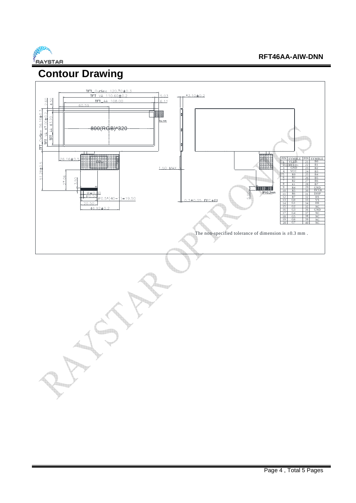

### **Contour Drawing**